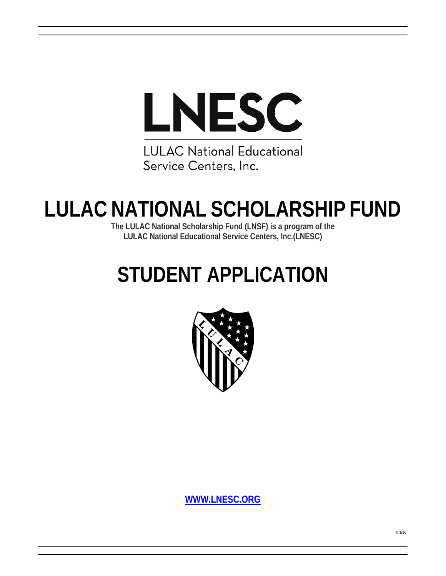

**LULAC National Educational** Service Centers, Inc.

# **LULAC NATIONAL SCHOLARSHIP FUND**

**The LULAC National Scholarship Fund (LNSF) is a program of the LULAC National Educational Service Centers, Inc.(LNESC)**

# **STUDENT APPLICATION**



**WWW.LNESC.ORG**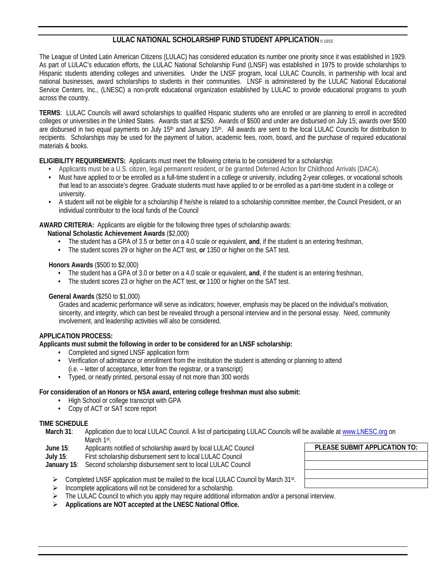### **LULAC NATIONAL SCHOLARSHIP FUND STUDENT APPLICATION** © 10/15

The League of United Latin American Citizens (LULAC) has considered education its number one priority since it was established in 1929. As part of LULAC's education efforts, the LULAC National Scholarship Fund (LNSF) was established in 1975 to provide scholarships to Hispanic students attending colleges and universities. Under the LNSF program, local LULAC Councils, in partnership with local and national businesses, award scholarships to students in their communities. LNSF is administered by the LULAC National Educational Service Centers, Inc., (LNESC) a non-profit educational organization established by LULAC to provide educational programs to youth across the country.

**TERMS**: LULAC Councils will award scholarships to qualified Hispanic students who are enrolled or are planning to enroll in accredited colleges or universities in the United States. Awards start at \$250. Awards of \$500 and under are disbursed on July 15; awards over \$500 are disbursed in two equal payments on July 15<sup>th</sup> and January 15<sup>th</sup>. All awards are sent to the local LULAC Councils for distribution to recipients. Scholarships may be used for the payment of tuition, academic fees, room, board, and the purchase of required educational materials & books.

**ELIGIBILITY REQUIREMENTS:** Applicants must meet the following criteria to be considered for a scholarship:

- **•** Applicants must be a U.S. citizen, legal permanent resident, or be granted Deferred Action for Childhood Arrivals (DACA).
- **•** Must have applied to or be enrolled as a full-time student in a college or university, including 2-year colleges, or vocational schools that lead to an associate's degree. Graduate students must have applied to or be enrolled as a part-time student in a college or university.
- **•** A student will not be eligible for a scholarship if he/she is related to a scholarship committee member, the Council President, or an individual contributor to the local funds of the Council

**AWARD CRITERIA:** Applicants are eligible for the following three types of scholarship awards:

**National Scholastic Achievement Awards** (\$2,000)

- **•** The student has a GPA of 3.5 or better on a 4.0 scale or equivalent, **and**, if the student is an entering freshman,
- **•** The student scores 29 or higher on the ACT test, **or** 1350 or higher on the SAT test.

**Honors Awards** (\$500 to \$2,000)

- **•** The student has a GPA of 3.0 or better on a 4.0 scale or equivalent, **and**, if the student is an entering freshman,
- **•** The student scores 23 or higher on the ACT test, **or** 1100 or higher on the SAT test.

**General Awards** (\$250 to \$1,000)

Grades and academic performance will serve as indicators; however, emphasis may be placed on the individual's motivation, sincerity, and integrity, which can best be revealed through a personal interview and in the personal essay. Need, community involvement, and leadership activities will also be considered.

#### **APPLICATION PROCESS:**

**Applicants must submit the following in order to be considered for an LNSF scholarship:** 

- **•** Completed and signed LNSF application form
- **•** Verification of admittance or enrollment from the institution the student is attending or planning to attend (i.e. – letter of acceptance, letter from the registrar, or a transcript)
- **•** Typed, or neatly printed, personal essay of not more than 300 words

#### **For consideration of an Honors or NSA award, entering college freshman must also submit:**

- **•** High School or college transcript with GPA
- **•** Copy of ACT or SAT score report

#### **TIME SCHEDULE**

- **March 31**: Application due to local LULAC Council. A list of participating LULAC Councils will be available at www.LNESC.org on March 1st.
- **June 15**: Applicants notified of scholarship award by local LULAC Council
- **July 15**: First scholarship disbursement sent to local LULAC Council

**January 15**: Second scholarship disbursement sent to local LULAC Council

- $\triangleright$  Completed LNSF application must be mailed to the local LULAC Council by March 31st.
- $\triangleright$  Incomplete applications will not be considered for a scholarship.
- > The LULAC Council to which you apply may require additional information and/or a personal interview.
- **Applications are NOT accepted at the LNESC National Office.**

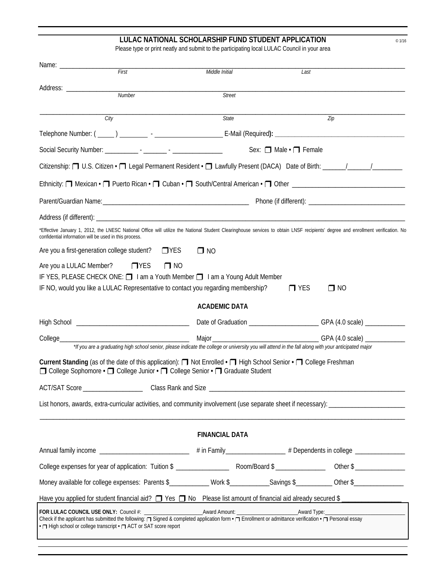#### **LULAC NATIONAL SCHOLARSHIP FUND STUDENT APPLICATION CONVERTION CONTACT RESPONDENT**

Please type or print neatly and submit to the participating local LULAC Council in your area

|                                                         | First                                                                                                                                                                                                                                            | Middle Initial                         | Last       |                                                                                                                                                                                  |
|---------------------------------------------------------|--------------------------------------------------------------------------------------------------------------------------------------------------------------------------------------------------------------------------------------------------|----------------------------------------|------------|----------------------------------------------------------------------------------------------------------------------------------------------------------------------------------|
|                                                         |                                                                                                                                                                                                                                                  |                                        |            |                                                                                                                                                                                  |
|                                                         | Number                                                                                                                                                                                                                                           | <b>Street</b>                          |            |                                                                                                                                                                                  |
|                                                         | City                                                                                                                                                                                                                                             | State                                  |            | Zip                                                                                                                                                                              |
|                                                         |                                                                                                                                                                                                                                                  |                                        |            |                                                                                                                                                                                  |
|                                                         |                                                                                                                                                                                                                                                  | Sex: $\Box$ Male $\cdot$ $\Box$ Female |            |                                                                                                                                                                                  |
|                                                         |                                                                                                                                                                                                                                                  |                                        |            |                                                                                                                                                                                  |
|                                                         |                                                                                                                                                                                                                                                  |                                        |            |                                                                                                                                                                                  |
|                                                         |                                                                                                                                                                                                                                                  |                                        |            |                                                                                                                                                                                  |
|                                                         |                                                                                                                                                                                                                                                  |                                        |            |                                                                                                                                                                                  |
| confidential information will be used in this process.  |                                                                                                                                                                                                                                                  |                                        |            | *Effective January 1, 2012, the LNESC National Office will utilize the National Student Clearinghouse services to obtain LNSF recipients' degree and enrollment verification. No |
|                                                         | Are you a first-generation college student? $\Box$ YES                                                                                                                                                                                           | $\square$ NO                           |            |                                                                                                                                                                                  |
| Are you a LULAC Member?                                 | $\Box$ YES<br>$\Box$ NO<br>IF YES, PLEASE CHECK ONE: 1 am a Youth Member 1 am a Young Adult Member<br>IF NO, would you like a LULAC Representative to contact you regarding membership?                                                          |                                        | $\Box$ YES | $\Box$ NO                                                                                                                                                                        |
|                                                         |                                                                                                                                                                                                                                                  | <b>ACADEMIC DATA</b>                   |            |                                                                                                                                                                                  |
|                                                         |                                                                                                                                                                                                                                                  |                                        |            | Date of Graduation ____________________________GPA (4.0 scale) _________________                                                                                                 |
| College___                                              | *If you are a graduating high school senior, please indicate the college or university you will attend in the fall along with your anticipated major                                                                                             |                                        |            |                                                                                                                                                                                  |
|                                                         | Current Standing (as of the date of this application): □ Not Enrolled • □ High School Senior • □ College Freshman<br>□ College Sophomore • □ College Junior • □ College Senior • □ Graduate Student                                              |                                        |            |                                                                                                                                                                                  |
| Class Rank and Size<br>ACT/SAT Score __________________ |                                                                                                                                                                                                                                                  |                                        |            |                                                                                                                                                                                  |
|                                                         |                                                                                                                                                                                                                                                  |                                        |            | List honors, awards, extra-curricular activities, and community involvement (use separate sheet if necessary): _______________________                                           |
|                                                         |                                                                                                                                                                                                                                                  | <b>FINANCIAL DATA</b>                  |            |                                                                                                                                                                                  |
|                                                         |                                                                                                                                                                                                                                                  |                                        |            | Annual family income ____________________________ # in Family_______________ # Dependents in college _______________                                                             |
|                                                         |                                                                                                                                                                                                                                                  |                                        |            |                                                                                                                                                                                  |
|                                                         | Money available for college expenses: Parents \$____________ Work \$__________Savings \$_________ Other \$______________                                                                                                                         |                                        |            |                                                                                                                                                                                  |
|                                                         |                                                                                                                                                                                                                                                  |                                        |            | Have you applied for student financial aid? $\Box$ Yes $\Box$ No Please list amount of financial aid already secured \$                                                          |
|                                                         | Check if the applicant has submitted the following: $\Box$ Signed & completed application form $\cdot \Box$ Enrollment or admittance verification $\cdot \Box$ Personal essay<br>• High school or college transcript • n ACT or SAT score report |                                        |            |                                                                                                                                                                                  |